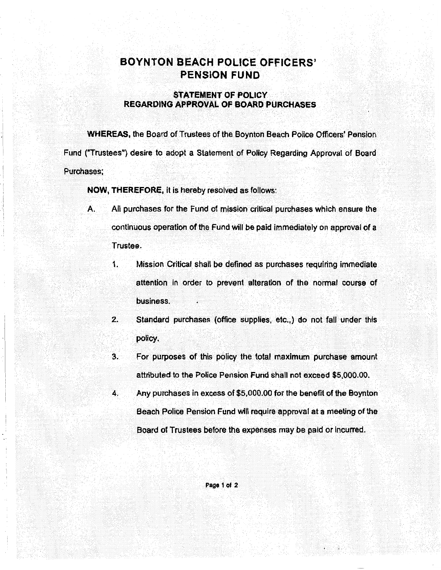## **BOYNTON BEACH POLICE OFFICERS' PENSION FUND**

## **STATEMENT OF. POLICY REGARDING APPROVAL OF BOARD PURCHASES**

**WHEREAS,** the Board of Trustees of the Boynton Beach Police Officers' Pension Fund ("Trustees") desire to adopt a Statement of Policy Regarding Approval of Board Purchases;

**NOW, THEREFORE,** it is hereby resolved as follows:

I I . i

- A. All purchases for the Fund of mission critical purchases which ensure the continuous operation of the Fund will be paid immediately on approval of a Trustee.
	- 1. Mission Critical shall be defined as purchases requiring immediate attention in order to prevent alteration of the normal course of business.
	- 2. Standard purchases (office supplies, etc.,) do not fall under this policy.
	- 3. For purposes of this policy the total maximum purchase amount attributed to the Police Pension Fund shall not exceed \$5,000.00.
	- 4. Any purchases in excess of \$5,000.00 for the benefit of the Boynton Beach Police Pension Fund will require approval at a meeting of the Board of Trustees before the expenses may be paid or incurred.

Page 1 of 2